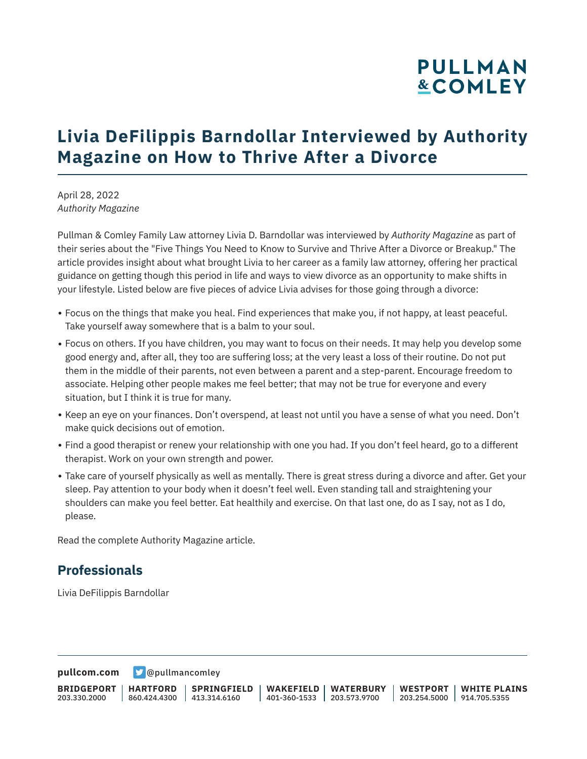# **PULLMAN &COMLEY**

## **Livia DeFilippis Barndollar Interviewed by Authority Magazine on How to Thrive After a Divorce**

April 28, 2022 *Authority Magazine*

Pullman & Comley Family Law attorney Livia D. Barndollar was interviewed by *Authority Magazine* as part of their series about the "Five Things You Need to Know to Survive and Thrive After a Divorce or Breakup." The article provides insight about what brought Livia to her career as a family law attorney, offering her practical guidance on getting though this period in life and ways to view divorce as an opportunity to make shifts in your lifestyle. Listed below are five pieces of advice Livia advises for those going through a divorce:

- Focus on the things that make you heal. Find experiences that make you, if not happy, at least peaceful. Take yourself away somewhere that is a balm to your soul.
- Focus on others. If you have children, you may want to focus on their needs. It may help you develop some good energy and, after all, they too are suffering loss; at the very least a loss of their routine. Do not put them in the middle of their parents, not even between a parent and a step-parent. Encourage freedom to associate. Helping other people makes me feel better; that may not be true for everyone and every situation, but I think it is true for many.
- Keep an eye on your finances. Don't overspend, at least not until you have a sense of what you need. Don't make quick decisions out of emotion.
- Find a good therapist or renew your relationship with one you had. If you don't feel heard, go to a different therapist. Work on your own strength and power.
- Take care of yourself physically as well as mentally. There is great stress during a divorce and after. Get your sleep. Pay attention to your body when it doesn't feel well. Even standing tall and straightening your shoulders can make you feel better. Eat healthily and exercise. On that last one, do as I say, not as I do, please.

Read the complete Authority Magazine article.

#### **Professionals**

Livia DeFilippis Barndollar

**[pullcom.com](https://www.pullcom.com)** [@pullmancomley](https://twitter.com/PullmanComley)

**BRIDGEPORT** 203.330.2000 **HARTFORD** 860.424.4300 413.314.6160 **SPRINGFIELD WAKEFIELD WATERBURY** 401-360-1533 203.573.9700 **WESTPORT WHITE PLAINS** 203.254.5000 914.705.5355